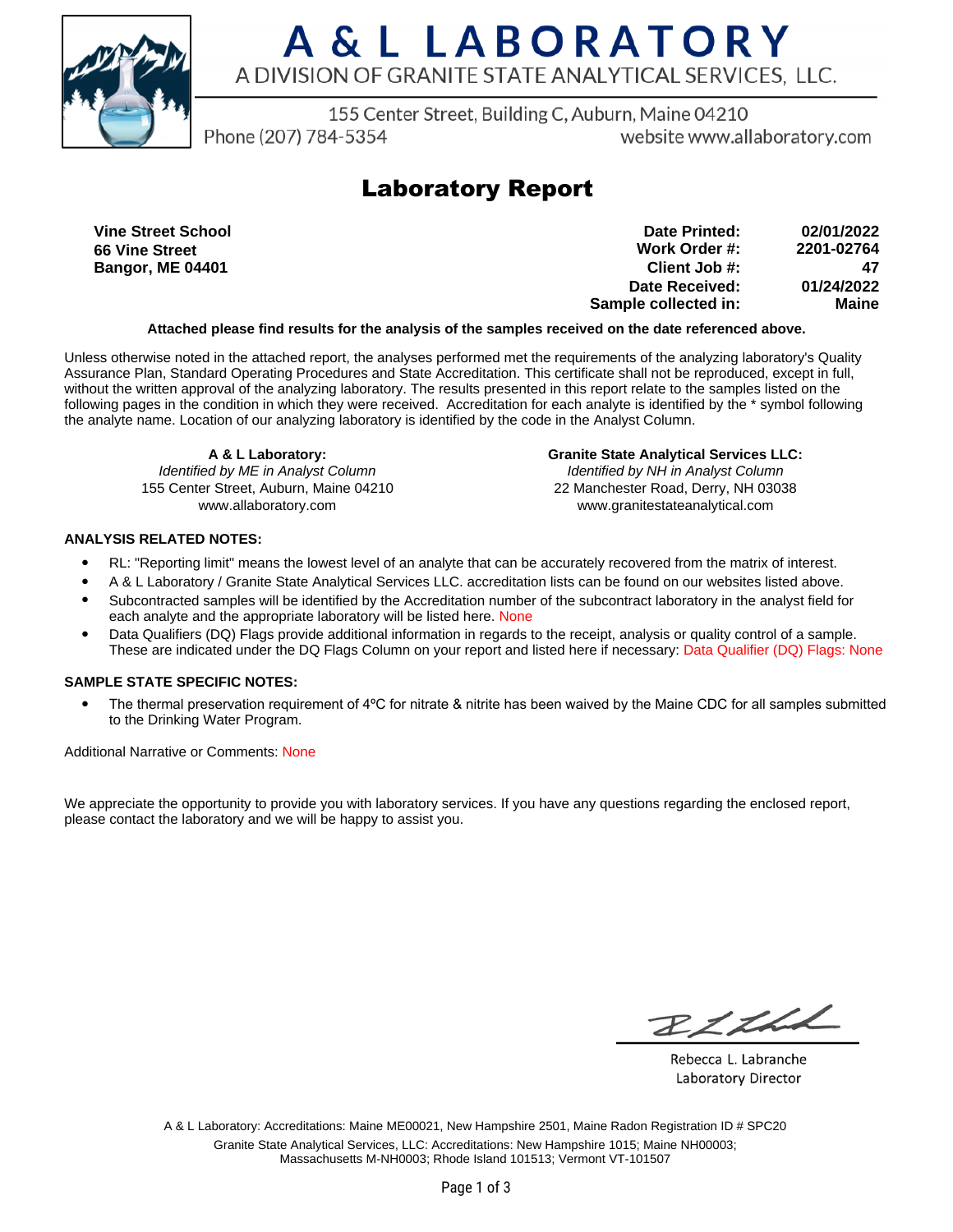

# A & L LABORATORY A DIVISION OF GRANITE STATE ANALYTICAL SERVICES, LLC.

155 Center Street, Building C, Auburn, Maine 04210

Phone (207) 784-5354

website www.allaboratory.com

### **Laboratory Report**

**Vine Street School 66 Vine Street Bangor, ME 04401**

**Work Order #: Client Job #: Date Received: Sample collected in: 2201-02764 47 01/24/2022 Maine Date Printed: 02/01/2022**

#### **Attached please find results for the analysis of the samples received on the date referenced above.**

Unless otherwise noted in the attached report, the analyses performed met the requirements of the analyzing laboratory's Quality Assurance Plan, Standard Operating Procedures and State Accreditation. This certificate shall not be reproduced, except in full, without the written approval of the analyzing laboratory. The results presented in this report relate to the samples listed on the following pages in the condition in which they were received. Accreditation for each analyte is identified by the \* symbol following the analyte name. Location of our analyzing laboratory is identified by the code in the Analyst Column.

**A & L Laboratory:** Identified by ME in Analyst Column 155 Center Street, Auburn, Maine 04210 www.allaboratory.com

**Granite State Analytical Services LLC:** Identified by NH in Analyst Column 22 Manchester Road, Derry, NH 03038 www.granitestateanalytical.com

#### **ANALYSIS RELATED NOTES:**

- RL: "Reporting limit" means the lowest level of an analyte that can be accurately recovered from the matrix of interest.
- A & L Laboratory / Granite State Analytical Services LLC. accreditation lists can be found on our websites listed above.
- Subcontracted samples will be identified by the Accreditation number of the subcontract laboratory in the analyst field for each analyte and the appropriate laboratory will be listed here. None
- Data Qualifiers (DQ) Flags provide additional information in regards to the receipt, analysis or quality control of a sample. These are indicated under the DQ Flags Column on your report and listed here if necessary: Data Qualifier (DQ) Flags: None

#### **SAMPLE STATE SPECIFIC NOTES:**

• The thermal preservation requirement of 4°C for nitrate & nitrite has been waived by the Maine CDC for all samples submitted to the Drinking Water Program.

Additional Narrative or Comments: None

We appreciate the opportunity to provide you with laboratory services. If you have any questions regarding the enclosed report, please contact the laboratory and we will be happy to assist you.

RICHL

Rebecca L. Labranche Laboratory Director

A & L Laboratory: Accreditations: Maine ME00021, New Hampshire 2501, Maine Radon Registration ID # SPC20 Granite State Analytical Services, LLC: Accreditations: New Hampshire 1015; Maine NH00003; Massachusetts M-NH0003; Rhode Island 101513; Vermont VT-101507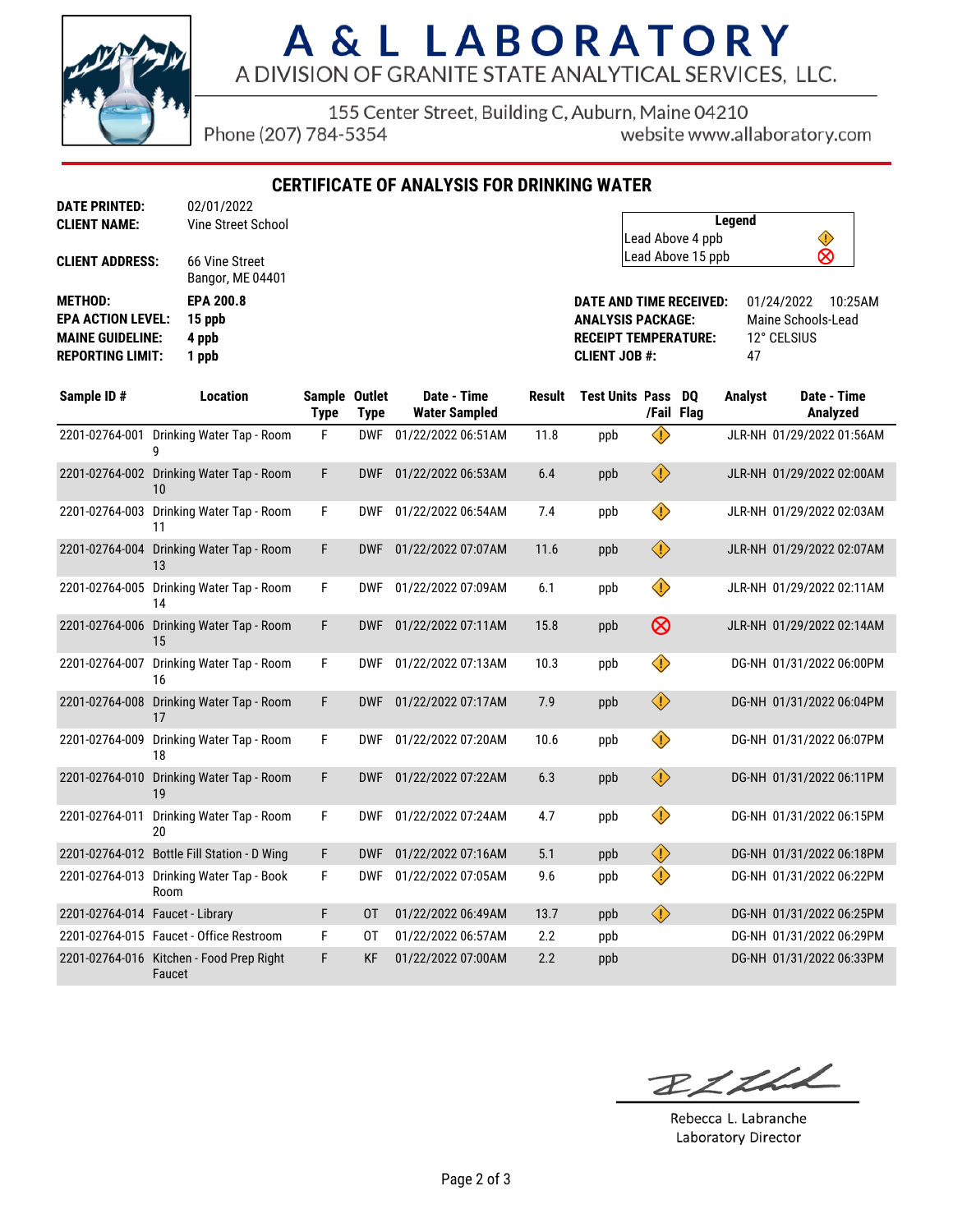

# A & L LABORATORY A DIVISION OF GRANITE STATE ANALYTICAL SERVICES, LLC.

155 Center Street, Building C, Auburn, Maine 04210

Phone (207) 784-5354

website www.allaboratory.com

**CERTIFICATE OF ANALYSIS FOR DRINKING WATER**

| <b>CLIENT NAME:</b>      | <b>Vine Street School</b>          |
|--------------------------|------------------------------------|
| <b>CLIENT ADDRESS:</b>   | 66 Vine Street<br>Bangor, ME 04401 |
| <b>METHOD:</b>           | <b>EPA 200.8</b>                   |
| <b>EPA ACTION LEVEL:</b> | 15 ppb                             |
| <b>MAINE GUIDELINE:</b>  | 4 ppb                              |
| <b>REPORTING LIMIT:</b>  | 1 ppb                              |

**DATE PRINTED:** 02/01/2022

| Legend            |   |  |
|-------------------|---|--|
| Lead Above 4 ppb  |   |  |
| Lead Above 15 ppb | ⊗ |  |

**DATE AND TIME RECEIVED:** 01/24/2022 10:25AM **ANALYSIS PACKAGE:** Maine Schools-Lead **RECEIPT TEMPERATURE:** 12° CELSIUS **CLIENT JOB #:** 47

| Sample ID#                      | <b>Location</b>                                    | Sample Outlet<br><b>Type</b> | <b>Type</b> | Date - Time<br><b>Water Sampled</b> | <b>Result</b> | <b>Test Units Pass</b> |                         | DO.<br>/Fail Flag | <b>Analyst</b> | Date - Time<br>Analyzed   |
|---------------------------------|----------------------------------------------------|------------------------------|-------------|-------------------------------------|---------------|------------------------|-------------------------|-------------------|----------------|---------------------------|
| 2201-02764-001                  | Drinking Water Tap - Room                          | F                            | <b>DWF</b>  | 01/22/2022 06:51AM                  | 11.8          | ppb                    | $\langle \cdot \rangle$ |                   |                | JLR-NH 01/29/2022 01:56AM |
|                                 | 2201-02764-002 Drinking Water Tap - Room<br>10     | F                            | <b>DWF</b>  | 01/22/2022 06:53AM                  | 6.4           | ppb                    | $\bigcirc$              |                   |                | JLR-NH 01/29/2022 02:00AM |
| 2201-02764-003                  | Drinking Water Tap - Room<br>11                    | F                            | <b>DWF</b>  | 01/22/2022 06:54AM                  | 7.4           | ppb                    | ♦                       |                   |                | JLR-NH 01/29/2022 02:03AM |
| 2201-02764-004                  | Drinking Water Tap - Room<br>13                    | F                            | <b>DWF</b>  | 01/22/2022 07:07AM                  | 11.6          | ppb                    | $\bigcirc$              |                   |                | JLR-NH 01/29/2022 02:07AM |
| 2201-02764-005                  | Drinking Water Tap - Room<br>14                    | F                            | <b>DWF</b>  | 01/22/2022 07:09AM                  | 6.1           | ppb                    | ♦                       |                   |                | JLR-NH 01/29/2022 02:11AM |
| 2201-02764-006                  | Drinking Water Tap - Room<br>15                    | F                            | <b>DWF</b>  | 01/22/2022 07:11AM                  | 15.8          | ppb                    | $\otimes$               |                   |                | JLR-NH 01/29/2022 02:14AM |
| 2201-02764-007                  | Drinking Water Tap - Room<br>16                    | F                            | <b>DWF</b>  | 01/22/2022 07:13AM                  | 10.3          | ppb                    | ♦                       |                   |                | DG-NH 01/31/2022 06:00PM  |
| 2201-02764-008                  | Drinking Water Tap - Room<br>17                    | F                            | <b>DWF</b>  | 01/22/2022 07:17AM                  | 7.9           | ppb                    | $\bigcirc$              |                   |                | DG-NH 01/31/2022 06:04PM  |
| 2201-02764-009                  | Drinking Water Tap - Room<br>18                    | F                            | <b>DWF</b>  | 01/22/2022 07:20AM                  | 10.6          | ppb                    | $\Diamond$              |                   |                | DG-NH 01/31/2022 06:07PM  |
| 2201-02764-010                  | Drinking Water Tap - Room<br>19                    | F                            | <b>DWF</b>  | 01/22/2022 07:22AM                  | 6.3           | ppb                    | $\bigcirc$              |                   |                | DG-NH 01/31/2022 06:11PM  |
| 2201-02764-011                  | Drinking Water Tap - Room<br>20                    | F                            | <b>DWF</b>  | 01/22/2022 07:24AM                  | 4.7           | ppb                    | ♦                       |                   |                | DG-NH 01/31/2022 06:15PM  |
|                                 | 2201-02764-012 Bottle Fill Station - D Wing        | F                            | <b>DWF</b>  | 01/22/2022 07:16AM                  | 5.1           | ppb                    | $\bigcirc$              |                   |                | DG-NH 01/31/2022 06:18PM  |
| 2201-02764-013                  | Drinking Water Tap - Book<br>Room                  | F                            | <b>DWF</b>  | 01/22/2022 07:05AM                  | 9.6           | ppb                    | ♦                       |                   |                | DG-NH 01/31/2022 06:22PM  |
| 2201-02764-014 Faucet - Library |                                                    | F                            | 0T          | 01/22/2022 06:49AM                  | 13.7          | ppb                    | $\bigcirc$              |                   |                | DG-NH 01/31/2022 06:25PM  |
|                                 | 2201-02764-015 Faucet - Office Restroom            | F                            | 0T          | 01/22/2022 06:57AM                  | 2.2           | ppb                    |                         |                   |                | DG-NH 01/31/2022 06:29PM  |
|                                 | 2201-02764-016 Kitchen - Food Prep Right<br>Faucet | F                            | <b>KF</b>   | 01/22/2022 07:00AM                  | 2.2           | ppb                    |                         |                   |                | DG-NH 01/31/2022 06:33PM  |

BLLLL

Rebecca L. Labranche Laboratory Director